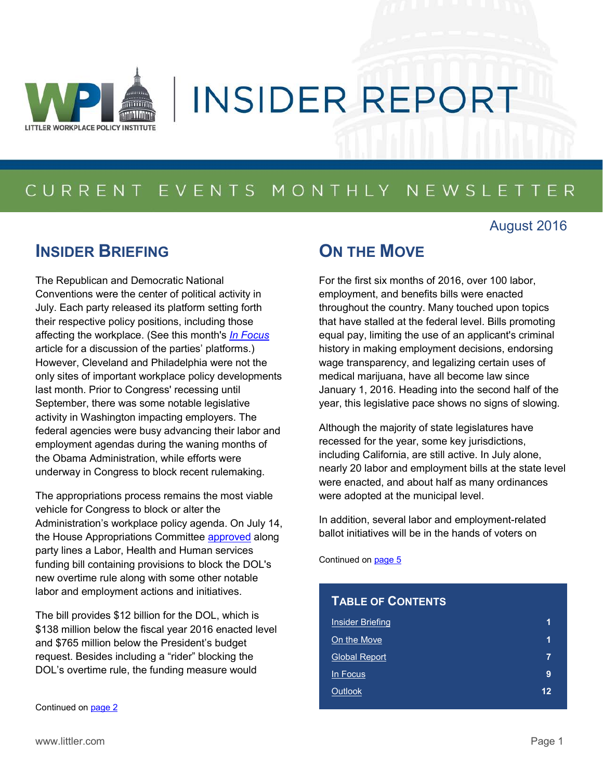

# **INSIDER REPORT**

# CURRENT EVENTS MONTHLY NEWSLETTER

### August 2016

### <span id="page-0-0"></span>**INSIDER BRIEFING**

The Republican and Democratic National Conventions were the center of political activity in July. Each party released its platform setting forth their respective policy positions, including those affecting the workplace. (See this month's *[In Focus](#page-8-0)* article for a discussion of the parties' platforms.) However, Cleveland and Philadelphia were not the only sites of important workplace policy developments last month. Prior to Congress' recessing until September, there was some notable legislative activity in Washington impacting employers. The federal agencies were busy advancing their labor and employment agendas during the waning months of the Obama Administration, while efforts were underway in Congress to block recent rulemaking.

The appropriations process remains the most viable vehicle for Congress to block or alter the Administration's workplace policy agenda. On July 14, the House Appropriations Committee [approved](http://appropriations.house.gov/news/documentsingle.aspx?DocumentID=394649) along party lines a Labor, Health and Human services funding bill containing provisions to block the DOL's new overtime rule along with some other notable labor and employment actions and initiatives.

The bill provides \$12 billion for the DOL, which is \$138 million below the fiscal year 2016 enacted level and \$765 million below the President's budget request. Besides including a "rider" blocking the DOL's overtime rule, the funding measure would

Continued on [page 2](#page-1-0)

### <span id="page-0-1"></span>**ON THE MOVE**

For the first six months of 2016, over 100 labor, employment, and benefits bills were enacted throughout the country. Many touched upon topics that have stalled at the federal level. Bills promoting equal pay, limiting the use of an applicant's criminal history in making employment decisions, endorsing wage transparency, and legalizing certain uses of medical marijuana, have all become law since January 1, 2016. Heading into the second half of the year, this legislative pace shows no signs of slowing.

Although the majority of state legislatures have recessed for the year, some key jurisdictions, including California, are still active. In July alone, nearly 20 labor and employment bills at the state level were enacted, and about half as many ordinances were adopted at the municipal level.

In addition, several labor and employment-related ballot initiatives will be in the hands of voters on

Continued on [page 5](#page-4-0)

| <b>TABLE OF CONTENTS</b> |    |
|--------------------------|----|
| <b>Insider Briefing</b>  | 1  |
| On the Move              | 1  |
| <b>Global Report</b>     | 7  |
| In Focus                 | 9  |
| Outlook                  | 12 |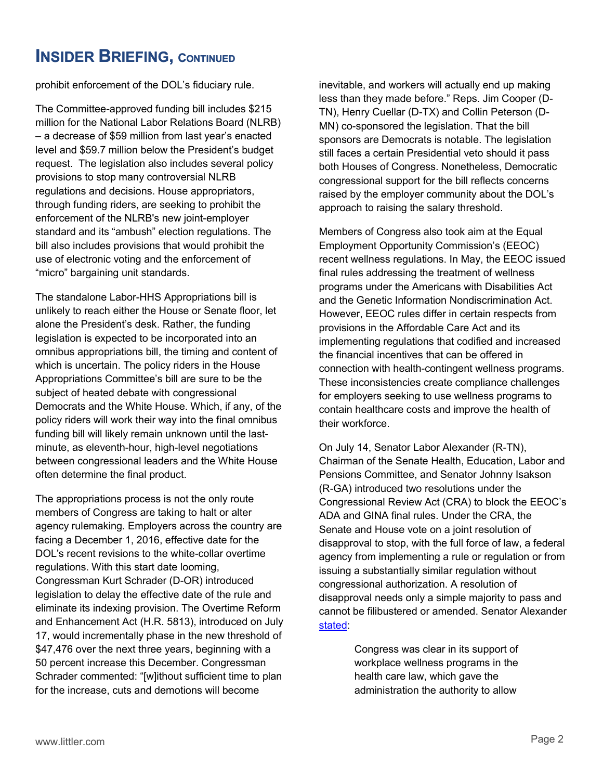### <span id="page-1-0"></span>**INSIDER BRIEFING, CONTINUED**

prohibit enforcement of the DOL's fiduciary rule.

 "micro" bargaining unit standards. The Committee-approved funding bill includes \$215 million for the National Labor Relations Board (NLRB) – a decrease of \$59 million from last year's enacted level and \$59.7 million below the President's budget request. The legislation also includes several policy provisions to stop many controversial NLRB regulations and decisions. House appropriators, through funding riders, are seeking to prohibit the enforcement of the NLRB's new joint-employer standard and its "ambush" election regulations. The bill also includes provisions that would prohibit the use of electronic voting and the enforcement of

The standalone Labor-HHS Appropriations bill is unlikely to reach either the House or Senate floor, let alone the President's desk. Rather, the funding legislation is expected to be incorporated into an omnibus appropriations bill, the timing and content of which is uncertain. The policy riders in the House Appropriations Committee's bill are sure to be the subject of heated debate with congressional Democrats and the White House. Which, if any, of the policy riders will work their way into the final omnibus funding bill will likely remain unknown until the lastminute, as eleventh-hour, high-level negotiations between congressional leaders and the White House often determine the final product.

The appropriations process is not the only route members of Congress are taking to halt or alter agency rulemaking. Employers across the country are facing a December 1, 2016, effective date for the DOL's recent revisions to the white-collar overtime regulations. With this start date looming, Congressman Kurt Schrader (D-OR) introduced legislation to delay the effective date of the rule and eliminate its indexing provision. The Overtime Reform and Enhancement Act (H.R. 5813), introduced on July 17, would incrementally phase in the new threshold of \$47,476 over the next three years, beginning with a 50 percent increase this December. Congressman Schrader commented: "[w]ithout sufficient time to plan for the increase, cuts and demotions will become

inevitable, and workers will actually end up making less than they made before." Reps. Jim Cooper (D-TN), Henry Cuellar (D-TX) and Collin Peterson (D-MN) co-sponsored the legislation. That the bill sponsors are Democrats is notable. The legislation still faces a certain Presidential veto should it pass both Houses of Congress. Nonetheless, Democratic congressional support for the bill reflects concerns raised by the employer community about the DOL's approach to raising the salary threshold.

Members of Congress also took aim at the Equal Employment Opportunity Commission's (EEOC) recent wellness regulations. In May, the EEOC issued final rules addressing the treatment of wellness programs under the Americans with Disabilities Act and the Genetic Information Nondiscrimination Act. However, EEOC rules differ in certain respects from provisions in the Affordable Care Act and its implementing regulations that codified and increased the financial incentives that can be offered in connection with health-contingent wellness programs. These inconsistencies create compliance challenges for employers seeking to use wellness programs to contain healthcare costs and improve the health of their workforce.

On July 14, Senator Labor Alexander (R-TN), Chairman of the Senate Health, Education, Labor and Pensions Committee, and Senator Johnny Isakson (R-GA) introduced two resolutions under the Congressional Review Act (CRA) to block the EEOC's ADA and GINA final rules. Under the CRA, the Senate and House vote on a joint resolution of disapproval to stop, with the full force of law, a federal agency from implementing a rule or regulation or from issuing a substantially similar regulation without congressional authorization. A resolution of disapproval needs only a simple majority to pass and cannot be filibustered or amended. Senator Alexander [stated:](http://www.help.senate.gov/chair/newsroom/press/senate-gop-labor-committee-leaders-introduce-resolutions-to-block-administration-attack-on-bipartisan-workplace-wellness-programs)

> Congress was clear in its support of workplace wellness programs in the health care law, which gave the administration the authority to allow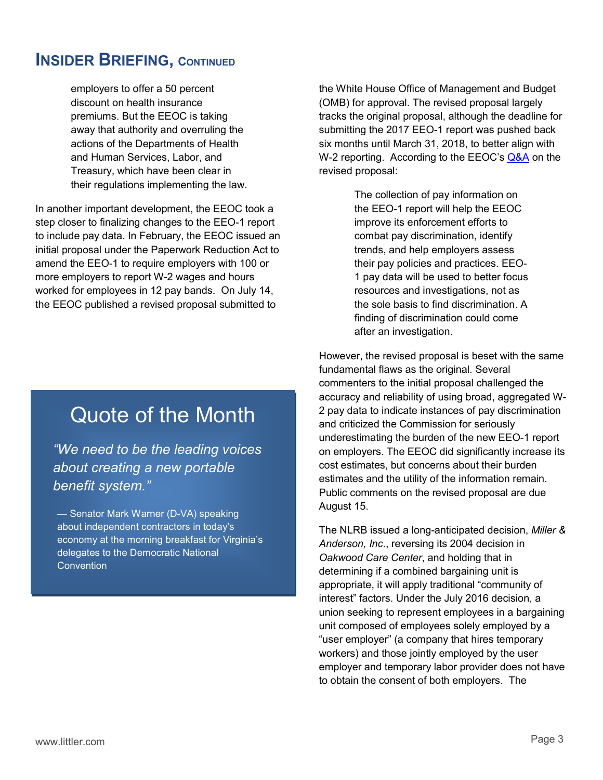### **INSIDER BRIEFING, CONTINUED**

employers to offer a 50 percent discount on health insurance premiums. But the EEOC is taking away that authority and overruling the actions of the Departments of Health and Human Services, Labor, and Treasury, which have been clear in their regulations implementing the law.

In another important development, the EEOC took a step closer to finalizing changes to the EEO-1 report to include pay data. In February, the EEOC issued an initial proposal under the Paperwork Reduction Act to amend the EEO-1 to require employers with 100 or more employers to report W-2 wages and hours worked for employees in 12 pay bands. On July 14, the EEOC published a revised proposal submitted to

# Quote of the Month

*"We need to be the leading voices about creating a new portable benefit system."*

— Senator Mark Warner (D-VA) speaking about independent contractors in today's economy at the morning breakfast for Virginia's delegates to the Democratic National Convention

the White House Office of Management and Budget (OMB) for approval. The revised proposal largely tracks the original proposal, although the deadline for submitting the 2017 EEO-1 report was pushed back six months until March 31, 2018, to better align with W-2 reporting. According to the EEOC's **Q&A** on the revised proposal:

> The collection of pay information on the EEO-1 report will help the EEOC improve its enforcement efforts to combat pay discrimination, identify trends, and help employers assess their pay policies and practices. EEO-1 pay data will be used to better focus resources and investigations, not as the sole basis to find discrimination. A finding of discrimination could come after an investigation.

However, the revised proposal is beset with the same fundamental flaws as the original. Several commenters to the initial proposal challenged the accuracy and reliability of using broad, aggregated W-2 pay data to indicate instances of pay discrimination and criticized the Commission for seriously underestimating the burden of the new EEO-1 report on employers. The EEOC did significantly increase its cost estimates, but concerns about their burden estimates and the utility of the information remain. Public comments on the revised proposal are due August 15.

The NLRB issued a long-anticipated decision, *Miller & Anderson, Inc*., reversing its 2004 decision in *Oakwood Care Center*, and holding that in determining if a combined bargaining unit is appropriate, it will apply traditional "community of interest" factors. Under the July 2016 decision, a union seeking to represent employees in a bargaining unit composed of employees solely employed by a "user employer" (a company that hires temporary workers) and those jointly employed by the user employer and temporary labor provider does not have to obtain the consent of both employers. The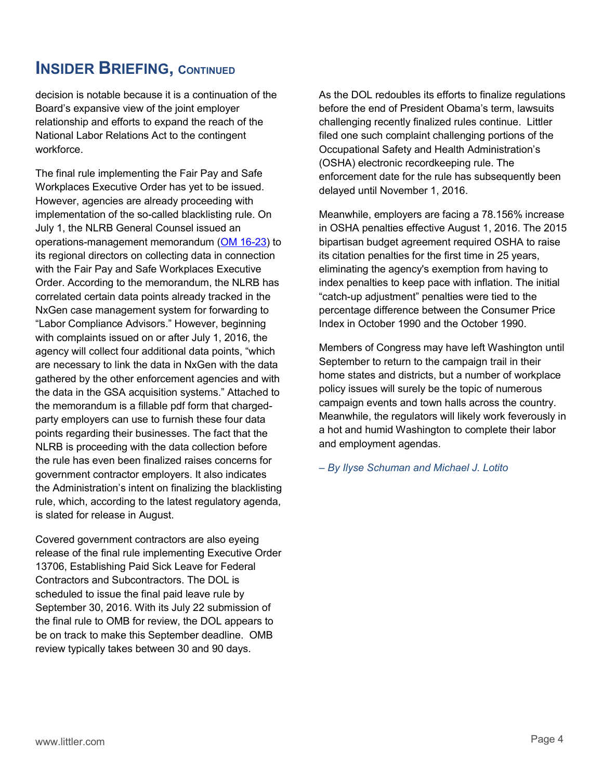### **INSIDER BRIEFING, CONTINUED**

decision is notable because it is a continuation of the Board's expansive view of the joint employer relationship and efforts to expand the reach of the National Labor Relations Act to the contingent workforce.

The final rule implementing the Fair Pay and Safe Workplaces Executive Order has yet to be issued. However, agencies are already proceeding with implementation of the so-called blacklisting rule. On July 1, the NLRB General Counsel issued an operations-management memorandum [\(OM 16-23\)](http://apps.nlrb.gov/link/document.aspx/09031d458214f593) to its regional directors on collecting data in connection with the Fair Pay and Safe Workplaces Executive Order. According to the memorandum, the NLRB has correlated certain data points already tracked in the NxGen case management system for forwarding to "Labor Compliance Advisors." However, beginning with complaints issued on or after July 1, 2016, the agency will collect four additional data points, "which are necessary to link the data in NxGen with the data gathered by the other enforcement agencies and with the data in the GSA acquisition systems." Attached to the memorandum is a fillable pdf form that chargedparty employers can use to furnish these four data points regarding their businesses. The fact that the NLRB is proceeding with the data collection before the rule has even been finalized raises concerns for government contractor employers. It also indicates the Administration's intent on finalizing the blacklisting rule, which, according to the latest regulatory agenda, is slated for release in August.

Covered government contractors are also eyeing release of the final rule implementing Executive Order 13706, Establishing Paid Sick Leave for Federal Contractors and Subcontractors. The DOL is scheduled to issue the final paid leave rule by September 30, 2016. With its July 22 submission of the final rule to OMB for review, the DOL appears to be on track to make this September deadline. OMB review typically takes between 30 and 90 days.

As the DOL redoubles its efforts to finalize regulations before the end of President Obama's term, lawsuits challenging recently finalized rules continue. Littler filed one such complaint challenging portions of the Occupational Safety and Health Administration's (OSHA) electronic recordkeeping rule. The enforcement date for the rule has subsequently been delayed until November 1, 2016.

Meanwhile, employers are facing a 78.156% increase in OSHA penalties effective August 1, 2016. The 2015 bipartisan budget agreement required OSHA to raise its citation penalties for the first time in 25 years, eliminating the agency's exemption from having to index penalties to keep pace with inflation. The initial "catch-up adjustment" penalties were tied to the percentage difference between the Consumer Price Index in October 1990 and the October 1990.

Members of Congress may have left Washington until September to return to the campaign trail in their home states and districts, but a number of workplace policy issues will surely be the topic of numerous campaign events and town halls across the country. Meanwhile, the regulators will likely work feverously in a hot and humid Washington to complete their labor and employment agendas.

*– By Ilyse Schuman and Michael J. Lotito*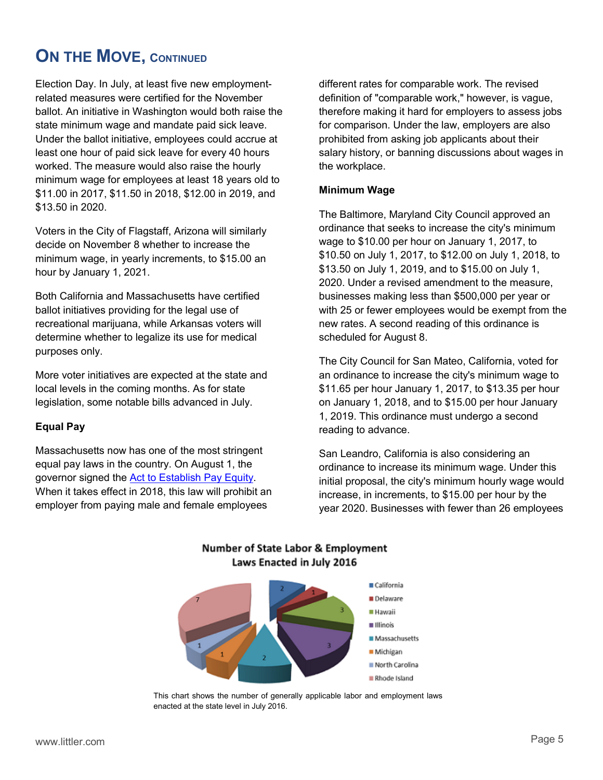# <span id="page-4-0"></span>**ON THE MOVE, CONTINUED**

Election Day. In July, at least five new employmentrelated measures were certified for the November ballot. An initiative in Washington would both raise the state minimum wage and mandate paid sick leave. Under the ballot initiative, employees could accrue at least one hour of paid sick leave for every 40 hours worked. The measure would also raise the hourly minimum wage for employees at least 18 years old to \$11.00 in 2017, \$11.50 in 2018, \$12.00 in 2019, and \$13.50 in 2020.

Voters in the City of Flagstaff, Arizona will similarly decide on November 8 whether to increase the minimum wage, in yearly increments, to \$15.00 an hour by January 1, 2021.

Both California and Massachusetts have certified ballot initiatives providing for the legal use of recreational marijuana, while Arkansas voters will determine whether to legalize its use for medical purposes only.

More voter initiatives are expected at the state and local levels in the coming months. As for state legislation, some notable bills advanced in July.

#### **Equal Pay**

Massachusetts now has one of the most stringent equal pay laws in the country. On August 1, the governor signed the [Act to Establish Pay Equity.](http://www.littler.com/publication-press/publication/massachusetts-adds-teeth-equal-pay-obligations) When it takes effect in 2018, this law will prohibit an employer from paying male and female employees

different rates for comparable work. The revised definition of "comparable work," however, is vague, therefore making it hard for employers to assess jobs for comparison. Under the law, employers are also prohibited from asking job applicants about their salary history, or banning discussions about wages in the workplace.

#### **Minimum Wage**

The Baltimore, Maryland City Council approved an ordinance that seeks to increase the city's minimum wage to \$10.00 per hour on January 1, 2017, to \$10.50 on July 1, 2017, to \$12.00 on July 1, 2018, to \$13.50 on July 1, 2019, and to \$15.00 on July 1, 2020. Under a revised amendment to the measure, businesses making less than \$500,000 per year or with 25 or fewer employees would be exempt from the new rates. A second reading of this ordinance is scheduled for August 8.

The City Council for San Mateo, California, voted for an ordinance to increase the city's minimum wage to \$11.65 per hour January 1, 2017, to \$13.35 per hour on January 1, 2018, and to \$15.00 per hour January 1, 2019. This ordinance must undergo a second reading to advance.

San Leandro, California is also considering an ordinance to increase its minimum wage. Under this initial proposal, the city's minimum hourly wage would increase, in increments, to \$15.00 per hour by the year 2020. Businesses with fewer than 26 employees



#### **Number of State Labor & Employment** Laws Enacted in July 2016

This chart shows the number of generally applicable labor and employment laws enacted at the state level in July 2016.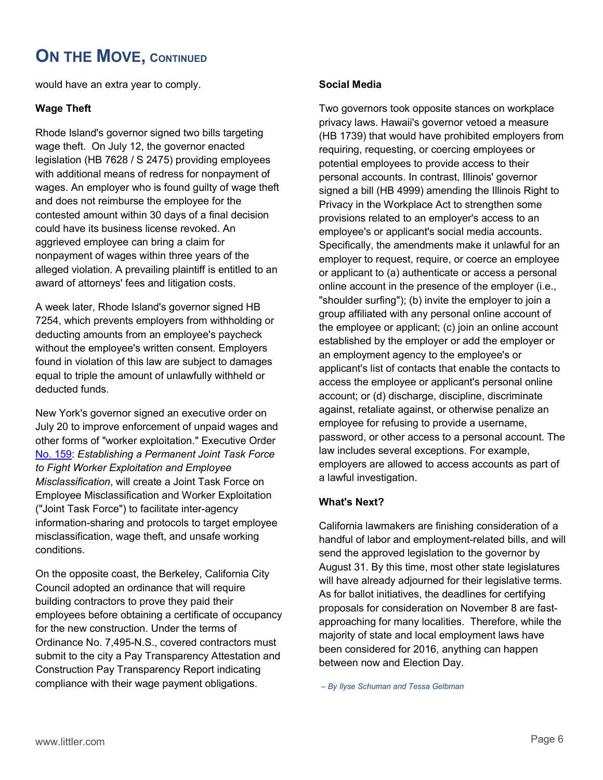## **ON THE MOVE, CONTINUED**

would have an extra year to comply.

#### **Wage Theft**

Rhode Island's governor signed two bills targeting wage theft. On July 12, the governor enacted legislation (HB 7628 / S 2475) providing employees with additional means of redress for nonpayment of wages. An employer who is found guilty of wage theft and does not reimburse the employee for the contested amount within 30 days of a final decision could have its business license revoked. An aggrieved employee can bring a claim for nonpayment of wages within three years of the alleged violation. A prevailing plaintiff is entitled to an award of attorneys' fees and litigation costs.

A week later, Rhode Island's governor signed HB 7254, which prevents employers from withholding or deducting amounts from an employee's paycheck without the employee's written consent. Employers found in violation of this law are subject to damages equal to triple the amount of unlawfully withheld or deducted funds.

other forms of "worker exploitation." Executive Order New York's governor signed an executive order on July 20 to improve enforcement of unpaid wages and [No. 159:](https://www.governor.ny.gov/sites/governor.ny.gov/files/atoms/files/EO_159.pdf) *Establishing a Permanent Joint Task Force to Fight Worker Exploitation and Employee Misclassification*, will create a Joint Task Force on Employee Misclassification and Worker Exploitation ("Joint Task Force") to facilitate inter-agency information-sharing and protocols to target employee misclassification, wage theft, and unsafe working conditions.

On the opposite coast, the Berkeley, California City Council adopted an ordinance that will require building contractors to prove they paid their employees before obtaining a certificate of occupancy for the new construction. Under the terms of Ordinance No. 7,495-N.S., covered contractors must submit to the city a Pay Transparency Attestation and Construction Pay Transparency Report indicating compliance with their wage payment obligations.

#### **Social Media**

Two governors took opposite stances on workplace privacy laws. Hawaii's governor vetoed a measure (HB 1739) that would have prohibited employers from requiring, requesting, or coercing employees or potential employees to provide access to their personal accounts. In contrast, Illinois' governor signed a bill (HB 4999) amending the Illinois Right to Privacy in the Workplace Act to strengthen some provisions related to an employer's access to an employee's or applicant's social media accounts. Specifically, the amendments make it unlawful for an employer to request, require, or coerce an employee or applicant to (a) authenticate or access a personal online account in the presence of the employer (i.e., "shoulder surfing"); (b) invite the employer to join a group affiliated with any personal online account of the employee or applicant; (c) join an online account established by the employer or add the employer or an employment agency to the employee's or applicant's list of contacts that enable the contacts to access the employee or applicant's personal online account; or (d) discharge, discipline, discriminate against, retaliate against, or otherwise penalize an employee for refusing to provide a username, password, or other access to a personal account. The law includes several exceptions. For example, employers are allowed to access accounts as part of a lawful investigation.

#### **What's Next?**

California lawmakers are finishing consideration of a handful of labor and employment-related bills, and will send the approved legislation to the governor by August 31. By this time, most other state legislatures will have already adjourned for their legislative terms. As for ballot initiatives, the deadlines for certifying proposals for consideration on November 8 are fastapproaching for many localities. Therefore, while the majority of state and local employment laws have been considered for 2016, anything can happen between now and Election Day.

*– By Ilyse Schuman and Tessa Gelbman*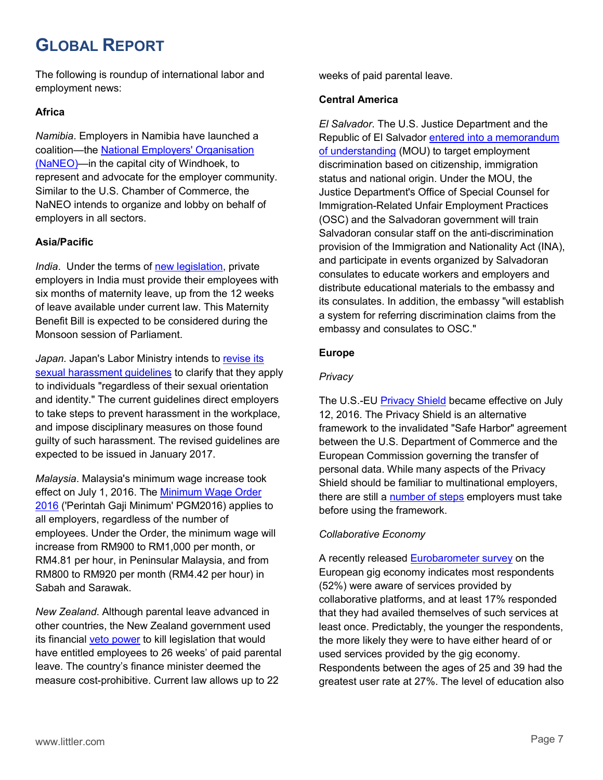# <span id="page-6-0"></span>**GLOBAL REPORT**

The following is roundup of international labor and employment news:

#### **Africa**

*Namibia*. Employers in Namibia have launched a coalition—the [National Employers' Organisation](http://www.namibian.com.na/New-employers-organisation-launched-in-Windhoek/42816/read)  [\(NaNEO\)—](http://www.namibian.com.na/New-employers-organisation-launched-in-Windhoek/42816/read)in the capital city of Windhoek, to represent and advocate for the employer community. Similar to the U.S. Chamber of Commerce, the NaNEO intends to organize and lobby on behalf of employers in all sectors.

#### **Asia/Pacific**

*India*. Under the terms of [new legislation,](http://economictimes.indiatimes.com/magazines/panache/coming-soon-6-months-of-maternity-leave-for-private-sector-employees/articleshow/53006536.cms) private employers in India must provide their employees with six months of maternity leave, up from the 12 weeks of leave available under current law. This Maternity Benefit Bill is expected to be considered during the Monsoon session of Parliament.

*Japan.* Japan's Labor Ministry intends to [revise its](http://kyodonews.net/news/2016/06/27/66628)  [sexual harassment guidelines](http://kyodonews.net/news/2016/06/27/66628) to clarify that they apply to individuals "regardless of their sexual orientation and identity." The current guidelines direct employers to take steps to prevent harassment in the workplace, and impose disciplinary measures on those found guilty of such harassment. The revised guidelines are expected to be issued in January 2017.

*Malaysia*. Malaysia's minimum wage increase took effect on July 1, 2016. The Minimum [Wage Order](http://www.mohr.gov.my/pdf/pua_20160429_P.U.%20(A)%20116%20-%20Perintah%20Gaji%20Minimum%202016.pdf)  [2016](http://www.mohr.gov.my/pdf/pua_20160429_P.U.%20(A)%20116%20-%20Perintah%20Gaji%20Minimum%202016.pdf) ('Perintah Gaji Minimum' PGM2016) applies to all employers, regardless of the number of employees. Under the Order, the minimum wage will increase from RM900 to RM1,000 per month, or RM4.81 per hour, in Peninsular Malaysia, and from RM800 to RM920 per month (RM4.42 per hour) in Sabah and Sarawak.

*New Zealand*. Although parental leave advanced in other countries, the New Zealand government used its financial [veto power](https://assets.documentcloud.org/documents/2861991/Veto-Certificate.pdf) to kill legislation that would have entitled employees to 26 weeks' of paid parental leave. The country's finance minister deemed the measure cost-prohibitive. Current law allows up to 22

weeks of paid parental leave.

#### **Central America**

*El Salvador*. The U.S. Justice Department and the Republic of El Salvador [entered into a memorandum](https://www.justice.gov/opa/pr/justice-department-partners-republic-el-salvador-combat-employment-discrimination)  [of understanding](https://www.justice.gov/opa/pr/justice-department-partners-republic-el-salvador-combat-employment-discrimination) (MOU) to target employment discrimination based on citizenship, immigration status and national origin. Under the MOU, the Justice Department's Office of Special Counsel for Immigration-Related Unfair Employment Practices (OSC) and the Salvadoran government will train Salvadoran consular staff on the anti-discrimination provision of the Immigration and Nationality Act (INA), and participate in events organized by Salvadoran consulates to educate workers and employers and distribute educational materials to the embassy and its consulates. In addition, the embassy "will establish a system for referring discrimination claims from the embassy and consulates to OSC."

#### **Europe**

#### *Privacy*

The U.S.-EU [Privacy Shield](https://www.commerce.gov/privacyshield) became effective on July 12, 2016. The Privacy Shield is an alternative framework to the invalidated "Safe Harbor" agreement between the U.S. Department of Commerce and the European Commission governing the transfer of personal data. While many aspects of the Privacy Shield should be familiar to multinational employers, there are still a [number of steps](http://www.littler.com/publication-press/publication/privacy-shield-what-us-multinational-employers-need-know-enjoy) employers must take before using the framework.

#### *Collaborative Economy*

A recently released [Eurobarometer survey](http://ec.europa.eu/COMMFrontOffice/PublicOpinion/index.cfm/Survey/getSurveyDetail/instruments/FLASH/surveyKy/2112) on the European gig economy indicates most respondents (52%) were aware of services provided by collaborative platforms, and at least 17% responded that they had availed themselves of such services at least once. Predictably, the younger the respondents, the more likely they were to have either heard of or used services provided by the gig economy. Respondents between the ages of 25 and 39 had the greatest user rate at 27%. The level of education also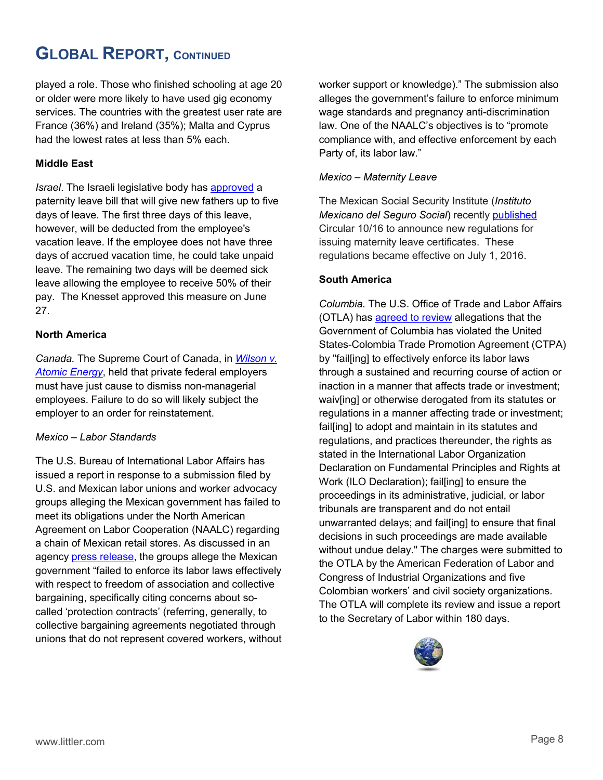# **GLOBAL REPORT, CONTINUED**

played a role. Those who finished schooling at age 20 or older were more likely to have used gig economy services. The countries with the greatest user rate are France (36%) and Ireland (35%); Malta and Cyprus had the lowest rates at less than 5% each.

#### **Middle East**

*Israel*. The Israeli legislative body has [approved](https://www.knesset.gov.il/spokesman/eng/PR_eng.asp?PRID=12142) a paternity leave bill that will give new fathers up to five days of leave. The first three days of this leave, however, will be deducted from the employee's vacation leave. If the employee does not have three days of accrued vacation time, he could take unpaid leave. The remaining two days will be deemed sick leave allowing the employee to receive 50% of their pay. The Knesset approved this measure on June 27.

#### **North America**

*Canada.* The Supreme Court of Canada, in *[Wilson v.](http://www.littler.com/publication-press/publication/supreme-court-canada-holds-private-sector-federal-employers-must-have)  [Atomic Energy](http://www.littler.com/publication-press/publication/supreme-court-canada-holds-private-sector-federal-employers-must-have)*, held that private federal employers must have just cause to dismiss non-managerial employees. Failure to do so will likely subject the employer to an order for reinstatement.

#### *Mexico – Labor Standards*

The U.S. Bureau of International Labor Affairs has issued a report in response to a submission filed by U.S. and Mexican labor unions and worker advocacy groups alleging the Mexican government has failed to meet its obligations under the North American Agreement on Labor Cooperation (NAALC) regarding a chain of Mexican retail stores. As discussed in an agency [press release,](https://www.dol.gov/newsroom/releases/ilab/ilab20160708) the groups allege the Mexican government "failed to enforce its labor laws effectively with respect to freedom of association and collective bargaining, specifically citing concerns about socalled 'protection contracts' (referring, generally, to collective bargaining agreements negotiated through unions that do not represent covered workers, without worker support or knowledge)." The submission also alleges the government's failure to enforce minimum wage standards and pregnancy anti-discrimination law. One of the NAALC's objectives is to "promote compliance with, and effective enforcement by each Party of, its labor law."

#### *Mexico – Maternity Leave*

The Mexican Social Security Institute (*Instituto Mexicano del Seguro Social*) recently [published](http://www.littler.com/publication-press/publication/mexico-new-maternity-leave-regulations) Circular 10/16 to announce new regulations for issuing maternity leave certificates. These regulations became effective on July 1, 2016.

#### **South America**

*Columbia.* The U.S. Office of Trade and Labor Affairs (OTLA) has [agreed to review](https://www.federalregister.gov/articles/2016/07/18/2016-16828/united-states-colombia-trade-promotion-agreement-notice-of-determination-regarding-review-of) allegations that the Government of Columbia has violated the United States-Colombia Trade Promotion Agreement (CTPA) by "fail[ing] to effectively enforce its labor laws through a sustained and recurring course of action or inaction in a manner that affects trade or investment; waiv[ing] or otherwise derogated from its statutes or regulations in a manner affecting trade or investment; fail[ing] to adopt and maintain in its statutes and regulations, and practices thereunder, the rights as stated in the International Labor Organization Declaration on Fundamental Principles and Rights at Work (ILO Declaration); fail[ing] to ensure the proceedings in its administrative, judicial, or labor tribunals are transparent and do not entail unwarranted delays; and fail[ing] to ensure that final decisions in such proceedings are made available without undue delay." The charges were submitted to the OTLA by the American Federation of Labor and Congress of Industrial Organizations and five Colombian workers' and civil society organizations. The OTLA will complete its review and issue a report to the Secretary of Labor within 180 days.

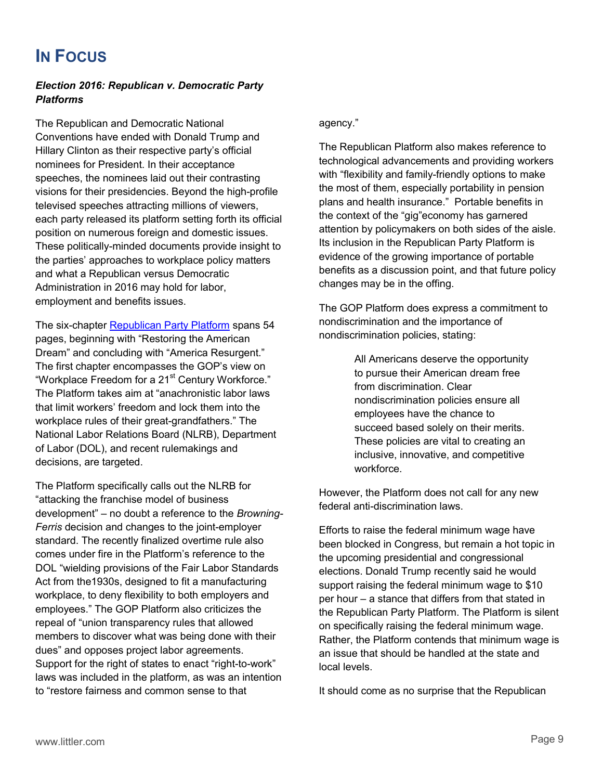# <span id="page-8-0"></span>**IN FOCUS**

#### *Election 2016: Republican v. Democratic Party Platforms*

The Republican and Democratic National Conventions have ended with Donald Trump and Hillary Clinton as their respective party's official nominees for President. In their acceptance speeches, the nominees laid out their contrasting visions for their presidencies. Beyond the high-profile televised speeches attracting millions of viewers, each party released its platform setting forth its official position on numerous foreign and domestic issues. These politically-minded documents provide insight to the parties' approaches to workplace policy matters and what a Republican versus Democratic Administration in 2016 may hold for labor, employment and benefits issues.

The six-chapter [Republican Party Platform](https://prod-static-ngop-pbl.s3.amazonaws.com/media/documents/DRAFT_12_FINAL%5b1%5d-ben_1468872234.pdf) spans 54 pages, beginning with "Restoring the American Dream" and concluding with "America Resurgent." The first chapter encompasses the GOP's view on "Workplace Freedom for a 21<sup>st</sup> Century Workforce." The Platform takes aim at "anachronistic labor laws that limit workers' freedom and lock them into the workplace rules of their great-grandfathers." The National Labor Relations Board (NLRB), Department of Labor (DOL), and recent rulemakings and decisions, are targeted.

 standard. The recently finalized overtime rule also The Platform specifically calls out the NLRB for "attacking the franchise model of business development" – no doubt a reference to the *Browning-Ferris* decision and changes to the joint-employer comes under fire in the Platform's reference to the DOL "wielding provisions of the Fair Labor Standards Act from the1930s, designed to fit a manufacturing workplace, to deny flexibility to both employers and employees." The GOP Platform also criticizes the repeal of "union transparency rules that allowed members to discover what was being done with their dues" and opposes project labor agreements. Support for the right of states to enact "right-to-work" laws was included in the platform, as was an intention to "restore fairness and common sense to that

#### agency."

The Republican Platform also makes reference to technological advancements and providing workers with "flexibility and family-friendly options to make the most of them, especially portability in pension plans and health insurance." Portable benefits in the context of the "gig"economy has garnered attention by policymakers on both sides of the aisle. Its inclusion in the Republican Party Platform is evidence of the growing importance of portable benefits as a discussion point, and that future policy changes may be in the offing.

The GOP Platform does express a commitment to nondiscrimination and the importance of nondiscrimination policies, stating:

> All Americans deserve the opportunity to pursue their American dream free from discrimination. Clear nondiscrimination policies ensure all employees have the chance to succeed based solely on their merits. These policies are vital to creating an inclusive, innovative, and competitive workforce.

However, the Platform does not call for any new federal anti-discrimination laws.

Efforts to raise the federal minimum wage have been blocked in Congress, but remain a hot topic in the upcoming presidential and congressional elections. Donald Trump recently said he would support raising the federal minimum wage to \$10 per hour – a stance that differs from that stated in the Republican Party Platform. The Platform is silent on specifically raising the federal minimum wage. Rather, the Platform contends that minimum wage is an issue that should be handled at the state and local levels.

It should come as no surprise that the Republican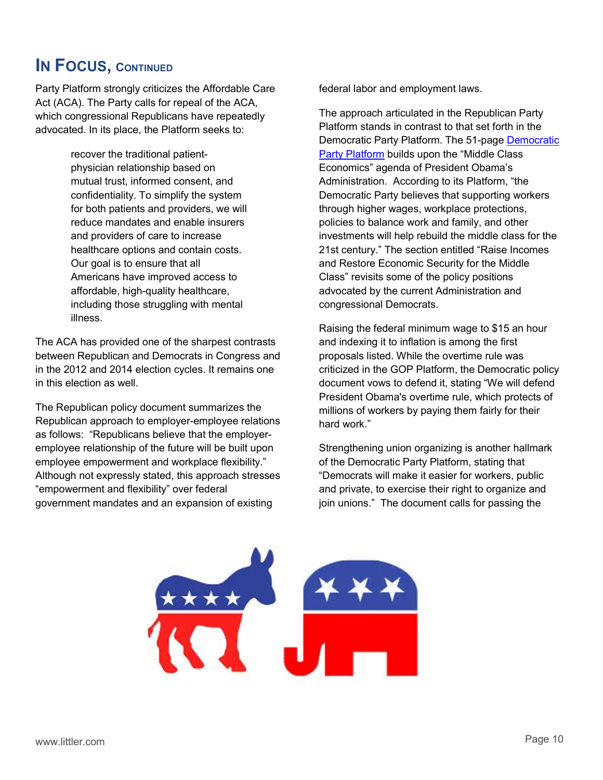### **IN FOCUS, CONTINUED**

Party Platform strongly criticizes the Affordable Care Act (ACA). The Party calls for repeal of the ACA, which congressional Republicans have repeatedly advocated. In its place, the Platform seeks to:

> recover the traditional patientphysician relationship based on mutual trust, informed consent, and confidentiality. To simplify the system for both patients and providers, we will reduce mandates and enable insurers and providers of care to increase healthcare options and contain costs. Our goal is to ensure that all Americans have improved access to affordable, high-quality healthcare, including those struggling with mental illness.

The ACA has provided one of the sharpest contrasts between Republican and Democrats in Congress and in the 2012 and 2014 election cycles. It remains one in this election as well.

The Republican policy document summarizes the Republican approach to employer-employee relations as follows: "Republicans believe that the employeremployee relationship of the future will be built upon employee empowerment and workplace flexibility." Although not expressly stated, this approach stresses "empowerment and flexibility" over federal government mandates and an expansion of existing

federal labor and employment laws.

The approach articulated in the Republican Party Platform stands in contrast to that set forth in the Democratic Party Platform. The 51-page [Democratic](https://www.demconvention.com/wp-content/uploads/2016/07/Democratic-Party-Platform-7.21.16-no-lines.pdf)  [Party Platform](https://www.demconvention.com/wp-content/uploads/2016/07/Democratic-Party-Platform-7.21.16-no-lines.pdf) builds upon the "Middle Class Economics" agenda of President Obama's Administration. According to its Platform, "the Democratic Party believes that supporting workers through higher wages, workplace protections, policies to balance work and family, and other investments will help rebuild the middle class for the 21st century." The section entitled "Raise Incomes and Restore Economic Security for the Middle Class" revisits some of the policy positions advocated by the current Administration and congressional Democrats.

Raising the federal minimum wage to \$15 an hour and indexing it to inflation is among the first proposals listed. While the overtime rule was criticized in the GOP Platform, the Democratic policy document vows to defend it, stating "We will defend President Obama's overtime rule, which protects of millions of workers by paying them fairly for their hard work."

Strengthening union organizing is another hallmark of the Democratic Party Platform, stating that "Democrats will make it easier for workers, public and private, to exercise their right to organize and join unions." The document calls for passing the

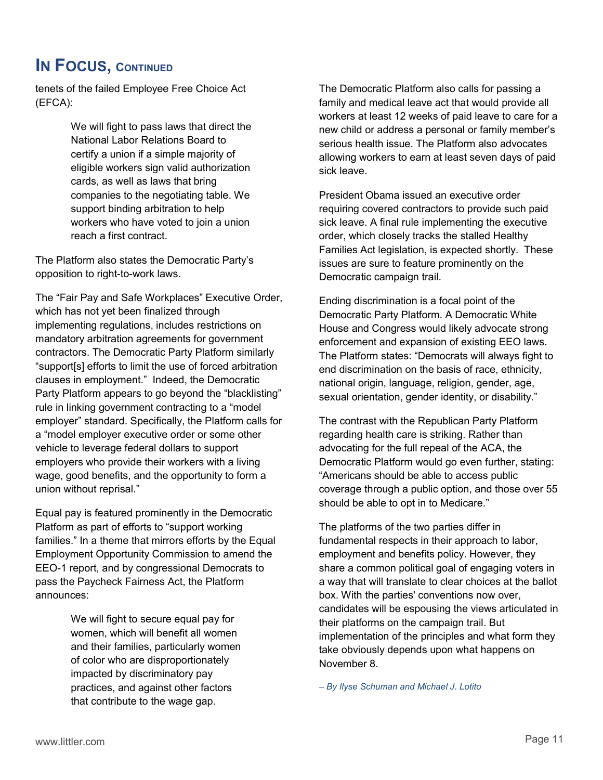### **IN FOCUS, CONTINUED**

tenets of the failed Employee Free Choice Act (EFCA):

> We will fight to pass laws that direct the National Labor Relations Board to certify a union if a simple majority of eligible workers sign valid authorization cards, as well as laws that bring companies to the negotiating table. We support binding arbitration to help workers who have voted to join a union reach a first contract.

The Platform also states the Democratic Party's opposition to right-to-work laws.

The "Fair Pay and Safe Workplaces" Executive Order, which has not yet been finalized through implementing regulations, includes restrictions on mandatory arbitration agreements for government contractors. The Democratic Party Platform similarly "support[s] efforts to limit the use of forced arbitration clauses in employment." Indeed, the Democratic Party Platform appears to go beyond the "blacklisting" rule in linking government contracting to a "model employer" standard. Specifically, the Platform calls for a "model employer executive order or some other vehicle to leverage federal dollars to support employers who provide their workers with a living wage, good benefits, and the opportunity to form a union without reprisal."

Equal pay is featured prominently in the Democratic Platform as part of efforts to "support working families." In a theme that mirrors efforts by the Equal Employment Opportunity Commission to amend the EEO-1 report, and by congressional Democrats to pass the Paycheck Fairness Act, the Platform announces:

> We will fight to secure equal pay for women, which will benefit all women and their families, particularly women of color who are disproportionately impacted by discriminatory pay practices, and against other factors that contribute to the wage gap.

The Democratic Platform also calls for passing a family and medical leave act that would provide all workers at least 12 weeks of paid leave to care for a new child or address a personal or family member's serious health issue. The Platform also advocates allowing workers to earn at least seven days of paid sick leave.

President Obama issued an executive order requiring covered contractors to provide such paid sick leave. A final rule implementing the executive order, which closely tracks the stalled Healthy Families Act legislation, is expected shortly. These issues are sure to feature prominently on the Democratic campaign trail.

Ending discrimination is a focal point of the Democratic Party Platform. A Democratic White House and Congress would likely advocate strong enforcement and expansion of existing EEO laws. The Platform states: "Democrats will always fight to end discrimination on the basis of race, ethnicity, national origin, language, religion, gender, age, sexual orientation, gender identity, or disability."

The contrast with the Republican Party Platform regarding health care is striking. Rather than advocating for the full repeal of the ACA, the Democratic Platform would go even further, stating: "Americans should be able to access public coverage through a public option, and those over 55 should be able to opt in to Medicare."

The platforms of the two parties differ in fundamental respects in their approach to labor, employment and benefits policy. However, they share a common political goal of engaging voters in a way that will translate to clear choices at the ballot box. With the parties' conventions now over, candidates will be espousing the views articulated in their platforms on the campaign trail. But implementation of the principles and what form they take obviously depends upon what happens on November 8.

*– By Ilyse Schuman and Michael J. Lotito*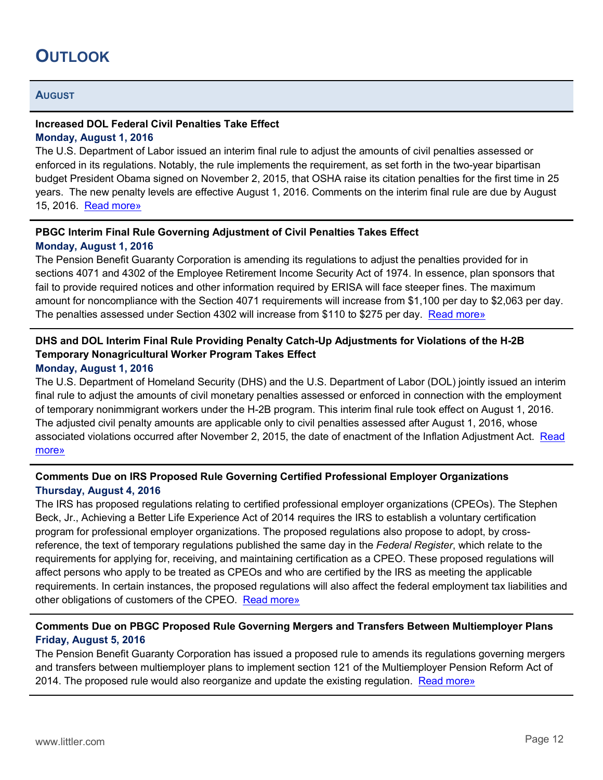# <span id="page-11-0"></span>**OUTLOOK**

#### **AUGUST**

#### **Increased DOL Federal Civil Penalties Take Effect Monday, August 1, 2016**

The U.S. Department of Labor issued an interim final rule to adjust the amounts of civil penalties assessed or enforced in its regulations. Notably, the rule implements the requirement, as set forth in the two-year bipartisan budget President Obama signed on November 2, 2015, that OSHA raise its citation penalties for the first time in 25 years. The new penalty levels are effective August 1, 2016. Comments on the interim final rule are due by August 15, 2016. [Read more»](https://www.federalregister.gov/articles/2016/07/01/2016-15378/federal-civil-penalties-inflation-adjustment-act-catch-up-adjustments)

#### **PBGC Interim Final Rule Governing Adjustment of Civil Penalties Takes Effect Monday, August 1, 2016**

The Pension Benefit Guaranty Corporation is amending its regulations to adjust the penalties provided for in sections 4071 and 4302 of the Employee Retirement Income Security Act of 1974. In essence, plan sponsors that fail to provide required notices and other information required by ERISA will face steeper fines. The maximum amount for noncompliance with the Section 4071 requirements will increase from \$1,100 per day to \$2,063 per day. The penalties assessed under Section 4302 will increase from \$110 to \$275 per day. [Read more»](https://www.federalregister.gov/articles/2016/05/13/2016-11296/adjustment-of-civil-penalties)

#### **DHS and DOL Interim Final Rule Providing Penalty Catch-Up Adjustments for Violations of the H-2B Temporary Nonagricultural Worker Program Takes Effect**

#### **Monday, August 1, 2016**

The U.S. Department of Homeland Security (DHS) and the U.S. Department of Labor (DOL) jointly issued an interim final rule to adjust the amounts of civil monetary penalties assessed or enforced in connection with the employment of temporary nonimmigrant workers under the H-2B program. This interim final rule took effect on August 1, 2016. The adjusted civil penalty amounts are applicable only to civil penalties assessed after August 1, 2016, whose associated violations occurred after November 2, 2015, the date of enactment of the Inflation Adjustment Act. Read [more»](https://www.federalregister.gov/articles/2016/07/01/2016-15679/federal-civil-penalties-inflation-adjustment-act-catch-up-adjustments-h-2b-temporary)

#### **Comments Due on IRS Proposed Rule Governing Certified Professional Employer Organizations Thursday, August 4, 2016**

The IRS has proposed regulations relating to certified professional employer organizations (CPEOs). The Stephen Beck, Jr., Achieving a Better Life Experience Act of 2014 requires the IRS to establish a voluntary certification program for professional employer organizations. The proposed regulations also propose to adopt, by crossreference, the text of temporary regulations published the same day in the *Federal Register*, which relate to the requirements for applying for, receiving, and maintaining certification as a CPEO. These proposed regulations will affect persons who apply to be treated as CPEOs and who are certified by the IRS as meeting the applicable requirements. In certain instances, the proposed regulations will also affect the federal employment tax liabilities and other obligations of customers of the CPEO. [Read more»](https://www.federalregister.gov/articles/2016/05/06/2016-10702/certified-professional-employer-organizations)

#### **Comments Due on PBGC Proposed Rule Governing Mergers and Transfers Between Multiemployer Plans Friday, August 5, 2016**

The Pension Benefit Guaranty Corporation has issued a proposed rule to amends its regulations governing mergers and transfers between multiemployer plans to implement section 121 of the Multiemployer Pension Reform Act of 2014. The proposed rule would also reorganize and update the existing regulation. [Read more»](https://www.federalregister.gov/articles/2016/06/06/2016-13083/mergers-and-transfers-between-multiemployer-plans)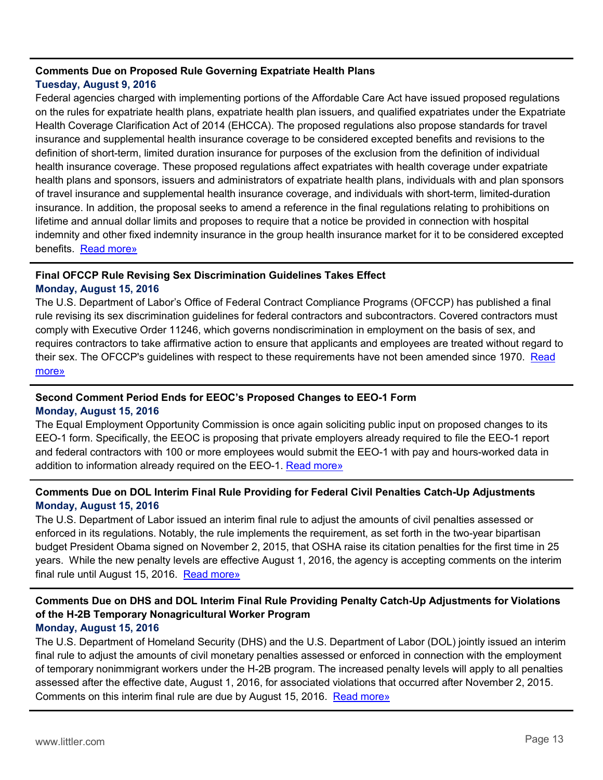#### **Comments Due on Proposed Rule Governing Expatriate Health Plans Tuesday, August 9, 2016**

Federal agencies charged with implementing portions of the Affordable Care Act have issued proposed regulations on the rules for expatriate health plans, expatriate health plan issuers, and qualified expatriates under the Expatriate Health Coverage Clarification Act of 2014 (EHCCA). The proposed regulations also propose standards for travel insurance and supplemental health insurance coverage to be considered excepted benefits and revisions to the definition of short-term, limited duration insurance for purposes of the exclusion from the definition of individual health insurance coverage. These proposed regulations affect expatriates with health coverage under expatriate health plans and sponsors, issuers and administrators of expatriate health plans, individuals with and plan sponsors of travel insurance and supplemental health insurance coverage, and individuals with short-term, limited-duration insurance. In addition, the proposal seeks to amend a reference in the final regulations relating to prohibitions on lifetime and annual dollar limits and proposes to require that a notice be provided in connection with hospital indemnity and other fixed indemnity insurance in the group health insurance market for it to be considered excepted benefits. [Read more»](https://www.federalregister.gov/articles/2016/06/10/2016-13583/expatriate-health-plans-expatriate-health-plan-issuers-and-qualified-expatriates-excepted-benefits)

#### **Final OFCCP Rule Revising Sex Discrimination Guidelines Takes Effect**

#### **Monday, August 15, 2016**

The U.S. Department of Labor's Office of Federal Contract Compliance Programs (OFCCP) has published a final rule revising its sex discrimination guidelines for federal contractors and subcontractors. Covered contractors must comply with Executive Order 11246, which governs nondiscrimination in employment on the basis of sex, and requires contractors to take affirmative action to ensure that applicants and employees are treated without regard to their sex. The OFCCP's guidelines with respect to these requirements have not been amended since 1970. [Read](https://www.federalregister.gov/articles/2016/06/15/2016-13806/discrimination-on-the-basis-of-sex)  [more»](https://www.federalregister.gov/articles/2016/06/15/2016-13806/discrimination-on-the-basis-of-sex)

#### **Second Comment Period Ends for EEOC's Proposed Changes to EEO-1 Form Monday, August 15, 2016**

The Equal Employment Opportunity Commission is once again soliciting public input on proposed changes to its EEO-1 form. Specifically, the EEOC is proposing that private employers already required to file the EEO-1 report and federal contractors with 100 or more employees would submit the EEO-1 with pay and hours-worked data in addition to information already required on the EEO-1. [Read more»](https://www.federalregister.gov/articles/2016/07/14/2016-16692/agency-information-collection-activities-proposals-submissions-and-approvals-revision-of-the)

#### **Comments Due on DOL Interim Final Rule Providing for Federal Civil Penalties Catch-Up Adjustments Monday, August 15, 2016**

The U.S. Department of Labor issued an interim final rule to adjust the amounts of civil penalties assessed or enforced in its regulations. Notably, the rule implements the requirement, as set forth in the two-year bipartisan budget President Obama signed on November 2, 2015, that OSHA raise its citation penalties for the first time in 25 years. While the new penalty levels are effective August 1, 2016, the agency is accepting comments on the interim final rule until August 15, 2016. [Read more»](https://www.federalregister.gov/articles/2016/07/01/2016-15378/federal-civil-penalties-inflation-adjustment-act-catch-up-adjustments)

#### **Comments Due on DHS and DOL Interim Final Rule Providing Penalty Catch-Up Adjustments for Violations of the H-2B Temporary Nonagricultural Worker Program Monday, August 15, 2016**

The U.S. Department of Homeland Security (DHS) and the U.S. Department of Labor (DOL) jointly issued an interim final rule to adjust the amounts of civil monetary penalties assessed or enforced in connection with the employment of temporary nonimmigrant workers under the H-2B program. The increased penalty levels will apply to all penalties assessed after the effective date, August 1, 2016, for associated violations that occurred after November 2, 2015. Comments on this interim final rule are due by August 15, 2016. [Read more»](https://www.federalregister.gov/articles/2016/07/01/2016-15679/federal-civil-penalties-inflation-adjustment-act-catch-up-adjustments-h-2b-temporary)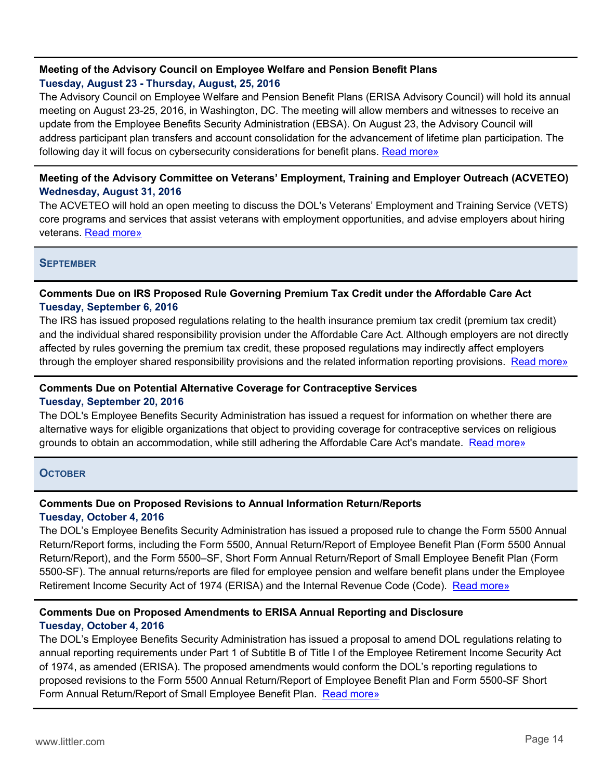#### **Meeting of the Advisory Council on Employee Welfare and Pension Benefit Plans Tuesday, August 23 - Thursday, August, 25, 2016**

The Advisory Council on Employee Welfare and Pension Benefit Plans (ERISA Advisory Council) will hold its annual meeting on August 23-25, 2016, in Washington, DC. The meeting will allow members and witnesses to receive an update from the Employee Benefits Security Administration (EBSA). On August 23, the Advisory Council will address participant plan transfers and account consolidation for the advancement of lifetime plan participation. The following day it will focus on cybersecurity considerations for benefit plans. [Read more»](https://www.federalregister.gov/articles/2016/07/28/2016-17723/meetings-advisory-council-on-employee-welfare-and-pension-benefit-plans)

#### **Meeting of the Advisory Committee on Veterans' Employment, Training and Employer Outreach (ACVETEO) Wednesday, August 31, 2016**

The ACVETEO will hold an open meeting to discuss the DOL's Veterans' Employment and Training Service (VETS) core programs and services that assist veterans with employment opportunities, and advise employers about hiring veterans. [Read more»](https://www.federalregister.gov/articles/2016/08/03/2016-18343/meetings-advisory-committee-on-veterans-employment-training-and-employer-outreach)

#### **SEPTEMBER**

#### **Comments Due on IRS Proposed Rule Governing Premium Tax Credit under the Affordable Care Act Tuesday, September 6, 2016**

The IRS has issued proposed regulations relating to the health insurance premium tax credit (premium tax credit) and the individual shared responsibility provision under the Affordable Care Act. Although employers are not directly affected by rules governing the premium tax credit, these proposed regulations may indirectly affect employers through the employer shared responsibility provisions and the related information reporting provisions. [Read more»](https://www.federalregister.gov/articles/2016/07/08/2016-15940/premium-tax-credit)

#### **Comments Due on Potential Alternative Coverage for Contraceptive Services Tuesday, September 20, 2016**

The DOL's Employee Benefits Security Administration has issued a request for information on whether there are alternative ways for eligible organizations that object to providing coverage for contraceptive services on religious grounds to obtain an accommodation, while still adhering the Affordable Care Act's mandate. [Read more»](https://www.federalregister.gov/articles/2016/07/22/2016-17242/requests-for-information-coverage-for-contraceptive-services)

#### **OCTOBER**

#### **Comments Due on Proposed Revisions to Annual Information Return/Reports**

#### **Tuesday, October 4, 2016**

The DOL's Employee Benefits Security Administration has issued a proposed rule to change the Form 5500 Annual Return/Report forms, including the Form 5500, Annual Return/Report of Employee Benefit Plan (Form 5500 Annual Return/Report), and the Form 5500–SF, Short Form Annual Return/Report of Small Employee Benefit Plan (Form 5500-SF). The annual returns/reports are filed for employee pension and welfare benefit plans under the Employee Retirement Income Security Act of 1974 (ERISA) and the Internal Revenue Code (Code). [Read more»](https://www.federalregister.gov/articles/2016/07/21/2016-14893/annual-information-returnreports)

#### **Comments Due on Proposed Amendments to ERISA Annual Reporting and Disclosure Tuesday, October 4, 2016**

The DOL's Employee Benefits Security Administration has issued a proposal to amend DOL regulations relating to annual reporting requirements under Part 1 of Subtitle B of Title I of the Employee Retirement Income Security Act of 1974, as amended (ERISA). The proposed amendments would conform the DOL's reporting regulations to proposed revisions to the Form 5500 Annual Return/Report of Employee Benefit Plan and Form 5500-SF Short Form Annual Return/Report of Small Employee Benefit Plan. [Read more»](https://www.federalregister.gov/articles/2016/07/21/2016-14892/annual-reporting-and-disclosure)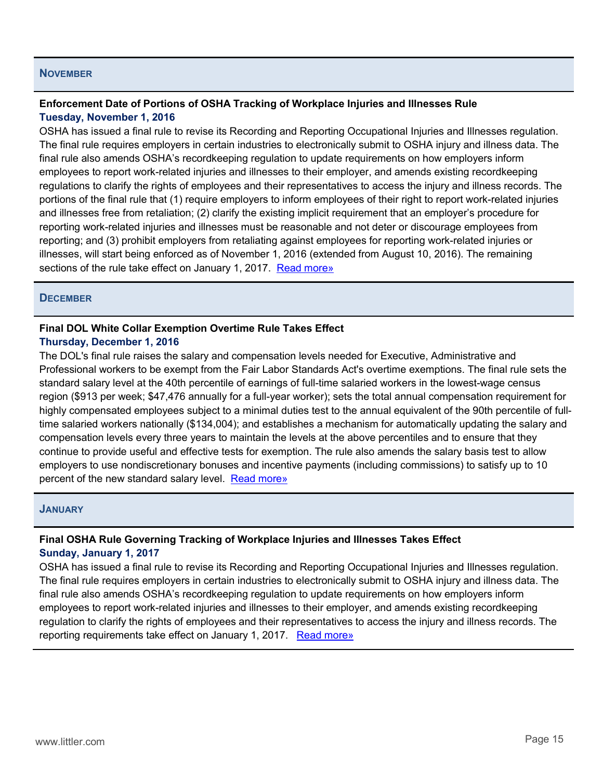#### **NOVEMBER**

#### **Enforcement Date of Portions of OSHA Tracking of Workplace Injuries and Illnesses Rule Tuesday, November 1, 2016**

OSHA has issued a final rule to revise its Recording and Reporting Occupational Injuries and Illnesses regulation. The final rule requires employers in certain industries to electronically submit to OSHA injury and illness data. The final rule also amends OSHA's recordkeeping regulation to update requirements on how employers inform employees to report work-related injuries and illnesses to their employer, and amends existing recordkeeping regulations to clarify the rights of employees and their representatives to access the injury and illness records. The portions of the final rule that (1) require employers to inform employees of their right to report work-related injuries and illnesses free from retaliation; (2) clarify the existing implicit requirement that an employer's procedure for reporting work-related injuries and illnesses must be reasonable and not deter or discourage employees from reporting; and (3) prohibit employers from retaliating against employees for reporting work-related injuries or illnesses, will start being enforced as of November 1, 2016 (extended from August 10, 2016). The remaining sections of the rule take effect on January 1, 2017. [Read more»](https://www.federalregister.gov/articles/2016/05/12/2016-10443/tracking-of-workplace-injuries-and-illnesses)

#### **DECEMBER**

#### **Final DOL White Collar Exemption Overtime Rule Takes Effect Thursday, December 1, 2016**

The DOL's final rule raises the salary and compensation levels needed for Executive, Administrative and Professional workers to be exempt from the Fair Labor Standards Act's overtime exemptions. The final rule sets the standard salary level at the 40th percentile of earnings of full-time salaried workers in the lowest-wage census region (\$913 per week; \$47,476 annually for a full-year worker); sets the total annual compensation requirement for highly compensated employees subject to a minimal duties test to the annual equivalent of the 90th percentile of fulltime salaried workers nationally (\$134,004); and establishes a mechanism for automatically updating the salary and compensation levels every three years to maintain the levels at the above percentiles and to ensure that they continue to provide useful and effective tests for exemption. The rule also amends the salary basis test to allow employers to use nondiscretionary bonuses and incentive payments (including commissions) to satisfy up to 10 percent of the new standard salary level. [Read more»](https://www.federalregister.gov/articles/2016/05/23/2016-11754/defining-and-delimiting-the-exemptions-for-executive-administrative-professional-outside-sales-and)

#### **JANUARY**

#### **Final OSHA Rule Governing Tracking of Workplace Injuries and Illnesses Takes Effect Sunday, January 1, 2017**

OSHA has issued a final rule to revise its Recording and Reporting Occupational Injuries and Illnesses regulation. The final rule requires employers in certain industries to electronically submit to OSHA injury and illness data. The final rule also amends OSHA's recordkeeping regulation to update requirements on how employers inform employees to report work-related injuries and illnesses to their employer, and amends existing recordkeeping regulation to clarify the rights of employees and their representatives to access the injury and illness records. The reporting requirements take effect on January 1, 2017. [Read more»](https://www.federalregister.gov/articles/2016/05/12/2016-10443/tracking-of-workplace-injuries-and-illnesses)